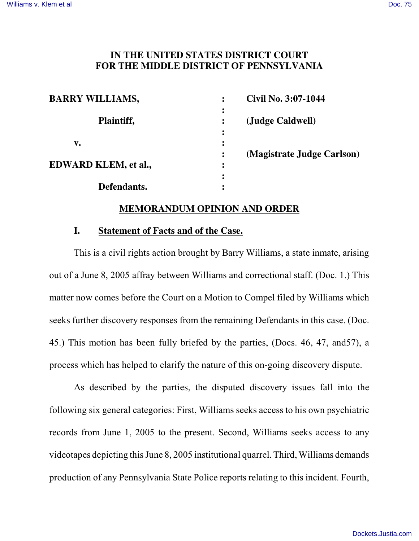#### **IN THE UNITED STATES DISTRICT COURT FOR THE MIDDLE DISTRICT OF PENNSYLVANIA**

| <b>BARRY WILLIAMS,</b> | Civil No. 3:07-1044<br>$\ddot{\cdot}$             |  |
|------------------------|---------------------------------------------------|--|
| Plaintiff,             | $\bullet$<br>(Judge Caldwell)                     |  |
| $\mathbf{v}_{\bullet}$ |                                                   |  |
| EDWARD KLEM, et al.,   | (Magistrate Judge Carlson)<br>$\ddot{\cdot}$<br>: |  |
| Defendants.            |                                                   |  |

#### **MEMORANDUM OPINION AND ORDER**

#### **I. Statement of Facts and of the Case.**

This is a civil rights action brought by Barry Williams, a state inmate, arising out of a June 8, 2005 affray between Williams and correctional staff. (Doc. 1.) This matter now comes before the Court on a Motion to Compel filed by Williams which seeks further discovery responses from the remaining Defendants in this case. (Doc. 45.) This motion has been fully briefed by the parties, (Docs. 46, 47, and57), a process which has helped to clarify the nature of this on-going discovery dispute.

As described by the parties, the disputed discovery issues fall into the following six general categories: First, Williams seeks access to his own psychiatric records from June 1, 2005 to the present. Second, Williams seeks access to any videotapes depicting thisJune 8, 2005 institutional quarrel. Third, Williams demands production of any Pennsylvania State Police reports relating to this incident. Fourth,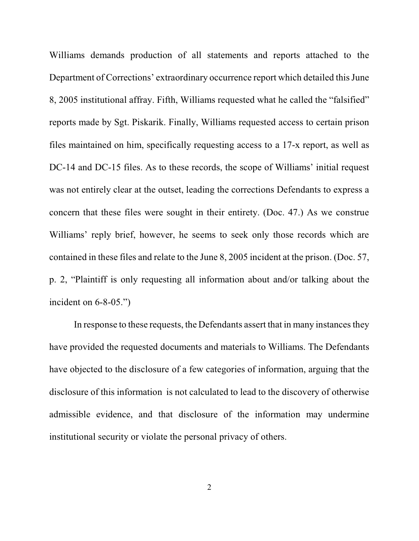Williams demands production of all statements and reports attached to the Department of Corrections' extraordinary occurrence report which detailed this June 8, 2005 institutional affray. Fifth, Williams requested what he called the "falsified" reports made by Sgt. Piskarik. Finally, Williams requested access to certain prison files maintained on him, specifically requesting access to a 17-x report, as well as DC-14 and DC-15 files. As to these records, the scope of Williams' initial request was not entirely clear at the outset, leading the corrections Defendants to express a concern that these files were sought in their entirety. (Doc. 47.) As we construe Williams' reply brief, however, he seems to seek only those records which are contained in these files and relate to the June 8, 2005 incident at the prison. (Doc. 57, p. 2, "Plaintiff is only requesting all information about and/or talking about the incident on 6-8-05.")

In response to these requests, the Defendants assert that in many instances they have provided the requested documents and materials to Williams. The Defendants have objected to the disclosure of a few categories of information, arguing that the disclosure of this information is not calculated to lead to the discovery of otherwise admissible evidence, and that disclosure of the information may undermine institutional security or violate the personal privacy of others.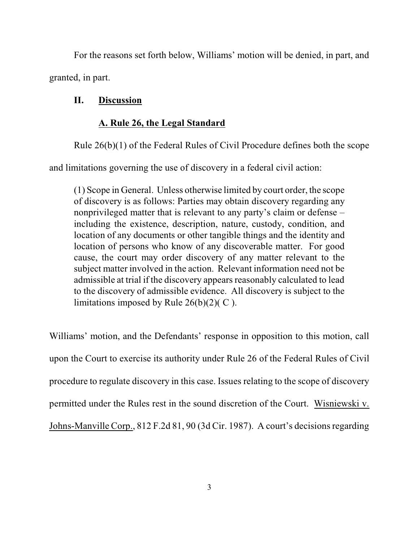For the reasons set forth below, Williams' motion will be denied, in part, and granted, in part.

## **II. Discussion**

# **A. Rule 26, the Legal Standard**

Rule 26(b)(1) of the Federal Rules of Civil Procedure defines both the scope

and limitations governing the use of discovery in a federal civil action:

(1) Scope in General. Unless otherwise limited by court order, the scope of discovery is as follows: Parties may obtain discovery regarding any nonprivileged matter that is relevant to any party's claim or defense – including the existence, description, nature, custody, condition, and location of any documents or other tangible things and the identity and location of persons who know of any discoverable matter. For good cause, the court may order discovery of any matter relevant to the subject matter involved in the action. Relevant information need not be admissible at trial if the discovery appears reasonably calculated to lead to the discovery of admissible evidence. All discovery is subject to the limitations imposed by Rule  $26(b)(2)(C)$ .

Williams' motion, and the Defendants' response in opposition to this motion, call upon the Court to exercise its authority under Rule 26 of the Federal Rules of Civil procedure to regulate discovery in this case. Issues relating to the scope of discovery permitted under the Rules rest in the sound discretion of the Court. Wisniewski v. Johns-Manville Corp., 812 F.2d 81, 90 (3d Cir. 1987). A court's decisions regarding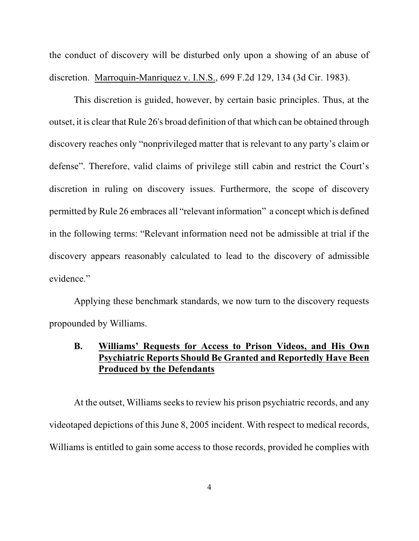the conduct of discovery will be disturbed only upon a showing of an abuse of discretion. Marroquin-Manriquez v. I.N.S., 699 F.2d 129, 134 (3d Cir. 1983).

This discretion is guided, however, by certain basic principles. Thus, at the outset, it is clear that Rule 26's broad definition of that which can be obtained through discovery reaches only "nonprivileged matter that is relevant to any party's claim or defense". Therefore, valid claims of privilege still cabin and restrict the Court's discretion in ruling on discovery issues. Furthermore, the scope of discovery permitted by Rule 26 embraces all "relevant information" a concept which is defined in the following terms: "Relevant information need not be admissible at trial if the discovery appears reasonably calculated to lead to the discovery of admissible evidence."

Applying these benchmark standards, we now turn to the discovery requests propounded by Williams.

#### **B. Williams' Requests for Access to Prison Videos, and His Own Psychiatric Reports Should Be Granted and Reportedly Have Been Produced by the Defendants**

At the outset, Williams seeks to review his prison psychiatric records, and any videotaped depictions of this June 8, 2005 incident. With respect to medical records, Williams is entitled to gain some access to those records, provided he complies with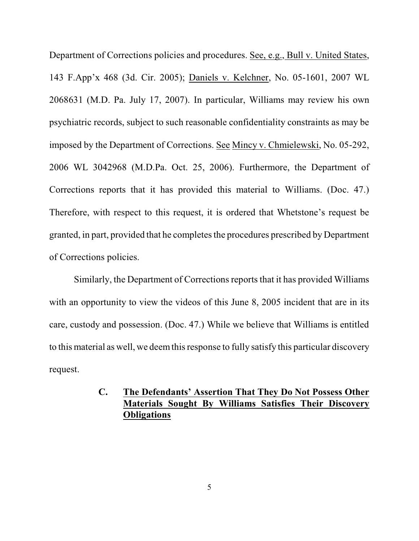Department of Corrections policies and procedures. See, e.g., Bull v. United States, 143 F.App'x 468 (3d. Cir. 2005); Daniels v. Kelchner, No. 05-1601, 2007 WL 2068631 (M.D. Pa. July 17, 2007). In particular, Williams may review his own psychiatric records, subject to such reasonable confidentiality constraints as may be imposed by the Department of Corrections. See Mincy v. Chmielewski, No. 05-292, 2006 WL 3042968 (M.D.Pa. Oct. 25, 2006). Furthermore, the Department of Corrections reports that it has provided this material to Williams. (Doc. 47.) Therefore, with respect to this request, it is ordered that Whetstone's request be granted, in part, provided that he completes the procedures prescribed by Department of Corrections policies.

Similarly, the Department of Corrections reports that it has provided Williams with an opportunity to view the videos of this June 8, 2005 incident that are in its care, custody and possession. (Doc. 47.) While we believe that Williams is entitled to this material as well, we deemthisresponse to fully satisfy this particular discovery request.

# **C. The Defendants' Assertion That They Do Not Possess Other Materials Sought By Williams Satisfies Their Discovery Obligations**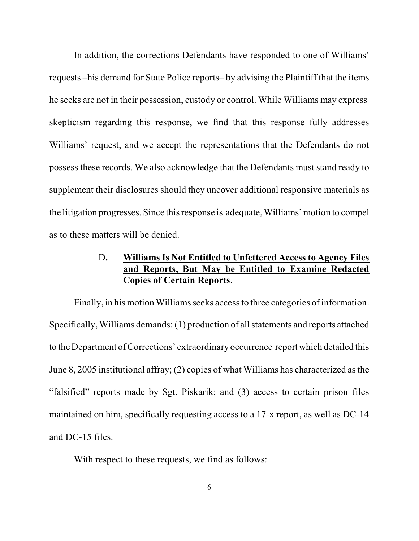In addition, the corrections Defendants have responded to one of Williams' requests –his demand for State Police reports– by advising the Plaintiff that the items he seeks are not in their possession, custody or control. While Williams may express skepticism regarding this response, we find that this response fully addresses Williams' request, and we accept the representations that the Defendants do not possess these records. We also acknowledge that the Defendants must stand ready to supplement their disclosures should they uncover additional responsive materials as the litigation progresses. Since thisresponse is adequate, Williams' motion to compel as to these matters will be denied.

## D**. Williams Is Not Entitled to Unfettered Access to Agency Files and Reports, But May be Entitled to Examine Redacted Copies of Certain Reports**.

Finally, in his motion Williams seeks access to three categories of information. Specifically, Williams demands: (1) production of all statements and reports attached to the Department ofCorrections' extraordinary occurrence report which detailed this June 8, 2005 institutional affray; (2) copies of what Williams has characterized asthe "falsified" reports made by Sgt. Piskarik; and (3) access to certain prison files maintained on him, specifically requesting access to a 17-x report, as well as DC-14 and DC-15 files.

With respect to these requests, we find as follows: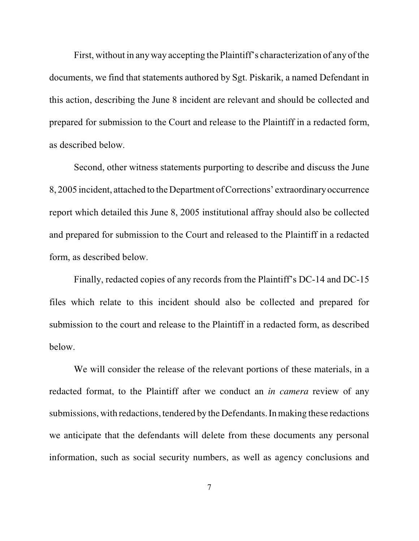First, without in anyway accepting the Plaintiff's characterization of any of the documents, we find that statements authored by Sgt. Piskarik, a named Defendant in this action, describing the June 8 incident are relevant and should be collected and prepared for submission to the Court and release to the Plaintiff in a redacted form, as described below.

Second, other witness statements purporting to describe and discuss the June 8, 2005 incident, attached to the Department of Corrections' extraordinary occurrence report which detailed this June 8, 2005 institutional affray should also be collected and prepared for submission to the Court and released to the Plaintiff in a redacted form, as described below.

Finally, redacted copies of any records from the Plaintiff's DC-14 and DC-15 files which relate to this incident should also be collected and prepared for submission to the court and release to the Plaintiff in a redacted form, as described below.

We will consider the release of the relevant portions of these materials, in a redacted format, to the Plaintiff after we conduct an *in camera* review of any submissions, with redactions, tendered by the Defendants. In making these redactions we anticipate that the defendants will delete from these documents any personal information, such as social security numbers, as well as agency conclusions and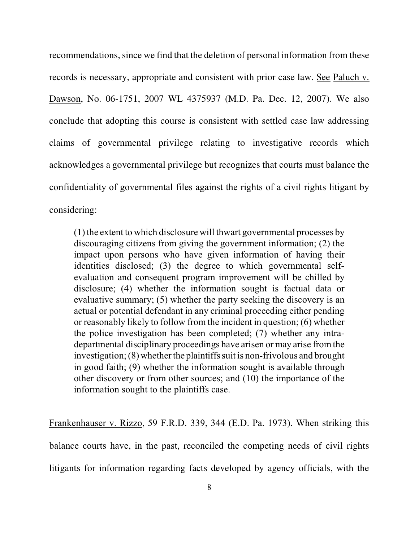recommendations, since we find that the deletion of personal information from these records is necessary, appropriate and consistent with prior case law. See Paluch v. Dawson, No. 06-1751, 2007 WL 4375937 (M.D. Pa. Dec. 12, 2007). We also conclude that adopting this course is consistent with settled case law addressing claims of governmental privilege relating to investigative records which acknowledges a governmental privilege but recognizes that courts must balance the confidentiality of governmental files against the rights of a civil rights litigant by considering:

(1) the extent to which disclosure will thwart governmental processes by discouraging citizens from giving the government information; (2) the impact upon persons who have given information of having their identities disclosed; (3) the degree to which governmental selfevaluation and consequent program improvement will be chilled by disclosure; (4) whether the information sought is factual data or evaluative summary; (5) whether the party seeking the discovery is an actual or potential defendant in any criminal proceeding either pending or reasonably likely to follow from the incident in question; (6) whether the police investigation has been completed; (7) whether any intradepartmental disciplinary proceedings have arisen or may arise fromthe investigation;  $(8)$  whether the plaintiffs suit is non-frivolous and brought in good faith; (9) whether the information sought is available through other discovery or from other sources; and (10) the importance of the information sought to the plaintiffs case.

Frankenhauser v. Rizzo, 59 F.R.D. 339, 344 (E.D. Pa. 1973). When striking this balance courts have, in the past, reconciled the competing needs of civil rights litigants for information regarding facts developed by agency officials, with the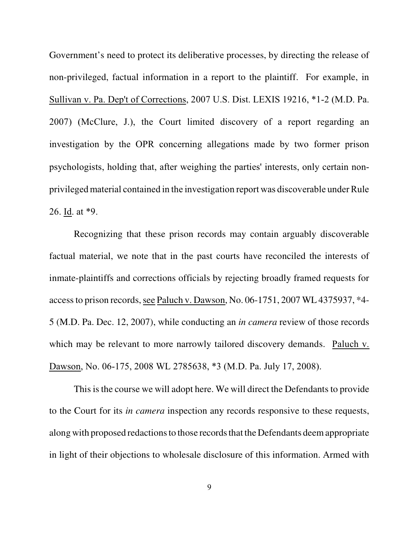Government's need to protect its deliberative processes, by directing the release of non-privileged, factual information in a report to the plaintiff. For example, in Sullivan v. Pa. Dep't of Corrections, 2007 U.S. Dist. LEXIS 19216, \*1-2 (M.D. Pa. 2007) (McClure, J.), the Court limited discovery of a report regarding an investigation by the OPR concerning allegations made by two former prison psychologists, holding that, after weighing the parties' interests, only certain nonprivileged material contained in the investigation report was discoverable under Rule 26. Id. at \*9.

Recognizing that these prison records may contain arguably discoverable factual material, we note that in the past courts have reconciled the interests of inmate-plaintiffs and corrections officials by rejecting broadly framed requests for accessto prison records, see Paluch v. Dawson, No. 06-1751, 2007 WL 4375937, \*4- 5 (M.D. Pa. Dec. 12, 2007), while conducting an *in camera* review of those records which may be relevant to more narrowly tailored discovery demands. Paluch v. Dawson, No. 06-175, 2008 WL 2785638, \*3 (M.D. Pa. July 17, 2008).

This is the course we will adopt here. We will direct the Defendants to provide to the Court for its *in camera* inspection any records responsive to these requests, along with proposed redactions to those records that the Defendants deem appropriate in light of their objections to wholesale disclosure of this information. Armed with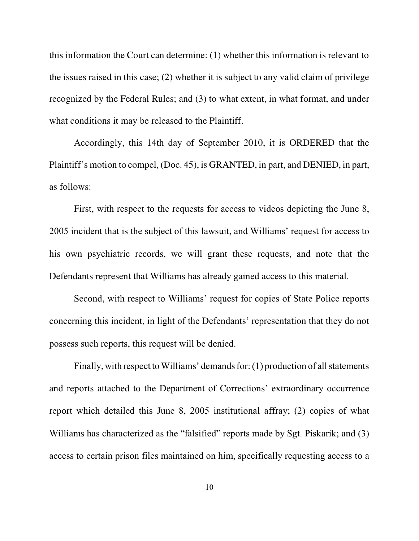this information the Court can determine: (1) whether this information is relevant to the issues raised in this case; (2) whether it is subject to any valid claim of privilege recognized by the Federal Rules; and (3) to what extent, in what format, and under what conditions it may be released to the Plaintiff.

Accordingly, this 14th day of September 2010, it is ORDERED that the Plaintiff's motion to compel, (Doc. 45), is GRANTED, in part, and DENIED, in part, as follows:

First, with respect to the requests for access to videos depicting the June 8, 2005 incident that is the subject of this lawsuit, and Williams' request for access to his own psychiatric records, we will grant these requests, and note that the Defendants represent that Williams has already gained access to this material.

Second, with respect to Williams' request for copies of State Police reports concerning this incident, in light of the Defendants' representation that they do not possess such reports, this request will be denied.

Finally, with respect to Williams' demands for:  $(1)$  production of all statements and reports attached to the Department of Corrections' extraordinary occurrence report which detailed this June 8, 2005 institutional affray; (2) copies of what Williams has characterized as the "falsified" reports made by Sgt. Piskarik; and (3) access to certain prison files maintained on him, specifically requesting access to a